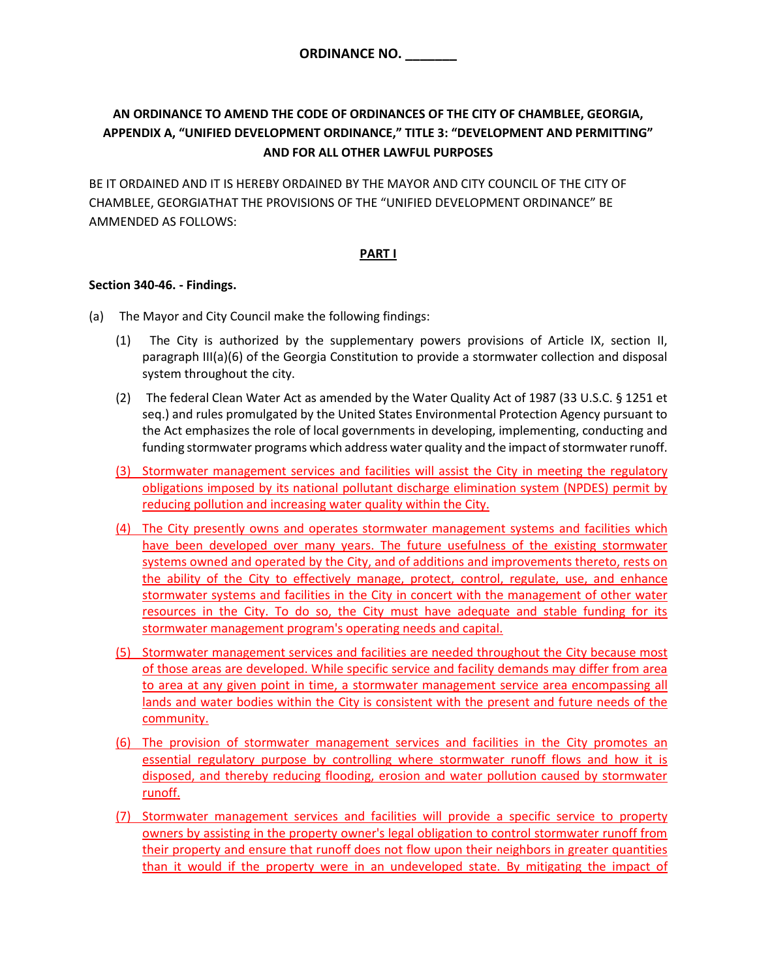# **AN ORDINANCE TO AMEND THE CODE OF ORDINANCES OF THE CITY OF CHAMBLEE, GEORGIA, APPENDIX A, "UNIFIED DEVELOPMENT ORDINANCE," TITLE 3: "DEVELOPMENT AND PERMITTING" AND FOR ALL OTHER LAWFUL PURPOSES**

BE IT ORDAINED AND IT IS HEREBY ORDAINED BY THE MAYOR AND CITY COUNCIL OF THE CITY OF CHAMBLEE, GEORGIATHAT THE PROVISIONS OF THE "UNIFIED DEVELOPMENT ORDINANCE" BE AMMENDED AS FOLLOWS:

## **PART I**

#### **Section 340-46. - Findings.**

- (a) The Mayor and City Council make the following findings:
	- (1) The City is authorized by the supplementary powers provisions of Article IX, section II, paragraph III(a)(6) of the Georgia Constitution to provide a stormwater collection and disposal system throughout the city.
	- (2) The federal Clean Water Act as amended by the Water Quality Act of 1987 (33 U.S.C. § 1251 et seq.) and rules promulgated by the United States Environmental Protection Agency pursuant to the Act emphasizes the role of local governments in developing, implementing, conducting and funding stormwater programs which address water quality and the impact of stormwater runoff.
	- (3) Stormwater management services and facilities will assist the City in meeting the regulatory obligations imposed by its national pollutant discharge elimination system (NPDES) permit by reducing pollution and increasing water quality within the City.
	- (4) The City presently owns and operates stormwater management systems and facilities which have been developed over many years. The future usefulness of the existing stormwater systems owned and operated by the City, and of additions and improvements thereto, rests on the ability of the City to effectively manage, protect, control, regulate, use, and enhance stormwater systems and facilities in the City in concert with the management of other water resources in the City. To do so, the City must have adequate and stable funding for its stormwater management program's operating needs and capital.
	- (5) Stormwater management services and facilities are needed throughout the City because most of those areas are developed. While specific service and facility demands may differ from area to area at any given point in time, a stormwater management service area encompassing all lands and water bodies within the City is consistent with the present and future needs of the community.
	- (6) The provision of stormwater management services and facilities in the City promotes an essential regulatory purpose by controlling where stormwater runoff flows and how it is disposed, and thereby reducing flooding, erosion and water pollution caused by stormwater runoff.
	- (7) Stormwater management services and facilities will provide a specific service to property owners by assisting in the property owner's legal obligation to control stormwater runoff from their property and ensure that runoff does not flow upon their neighbors in greater quantities than it would if the property were in an undeveloped state. By mitigating the impact of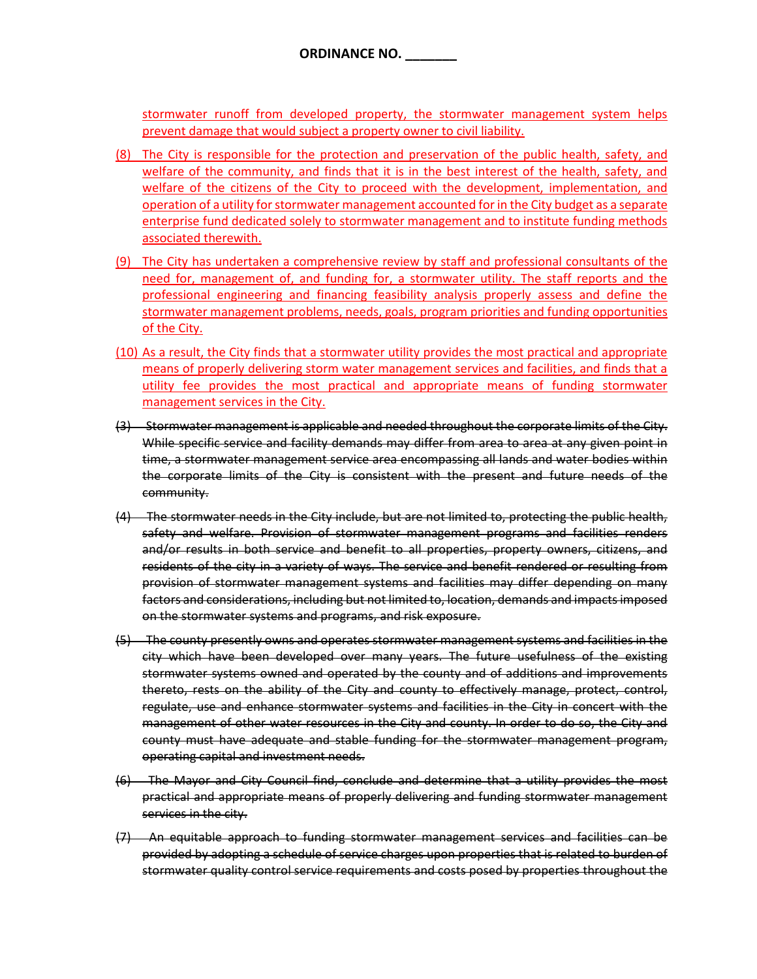stormwater runoff from developed property, the stormwater management system helps prevent damage that would subject a property owner to civil liability.

- (8) The City is responsible for the protection and preservation of the public health, safety, and welfare of the community, and finds that it is in the best interest of the health, safety, and welfare of the citizens of the City to proceed with the development, implementation, and operation of a utility for stormwater management accounted for in the City budget as a separate enterprise fund dedicated solely to stormwater management and to institute funding methods associated therewith.
- (9) The City has undertaken a comprehensive review by staff and professional consultants of the need for, management of, and funding for, a stormwater utility. The staff reports and the professional engineering and financing feasibility analysis properly assess and define the stormwater management problems, needs, goals, program priorities and funding opportunities of the City.
- (10) As a result, the City finds that a stormwater utility provides the most practical and appropriate means of properly delivering storm water management services and facilities, and finds that a utility fee provides the most practical and appropriate means of funding stormwater management services in the City.
- (3) Stormwater management is applicable and needed throughout the corporate limits of the City. While specific service and facility demands may differ from area to area at any given point in time, a stormwater management service area encompassing all lands and water bodies within the corporate limits of the City is consistent with the present and future needs of the community.
- (4) The stormwater needs in the City include, but are not limited to, protecting the public health, safety and welfare. Provision of stormwater management programs and facilities renders and/or results in both service and benefit to all properties, property owners, citizens, and residents of the city in a variety of ways. The service and benefit rendered or resulting from provision of stormwater management systems and facilities may differ depending on many factors and considerations, including but not limited to, location, demands and impacts imposed on the stormwater systems and programs, and risk exposure.
- (5) The county presently owns and operates stormwater management systems and facilities in the city which have been developed over many years. The future usefulness of the existing stormwater systems owned and operated by the county and of additions and improvements thereto, rests on the ability of the City and county to effectively manage, protect, control, regulate, use and enhance stormwater systems and facilities in the City in concert with the management of other water resources in the City and county. In order to do so, the City and county must have adequate and stable funding for the stormwater management program, operating capital and investment needs.
- (6) The Mayor and City Council find, conclude and determine that a utility provides the most practical and appropriate means of properly delivering and funding stormwater management services in the city.
- (7) An equitable approach to funding stormwater management services and facilities can be provided by adopting a schedule of service charges upon properties that is related to burden of stormwater quality control service requirements and costs posed by properties throughout the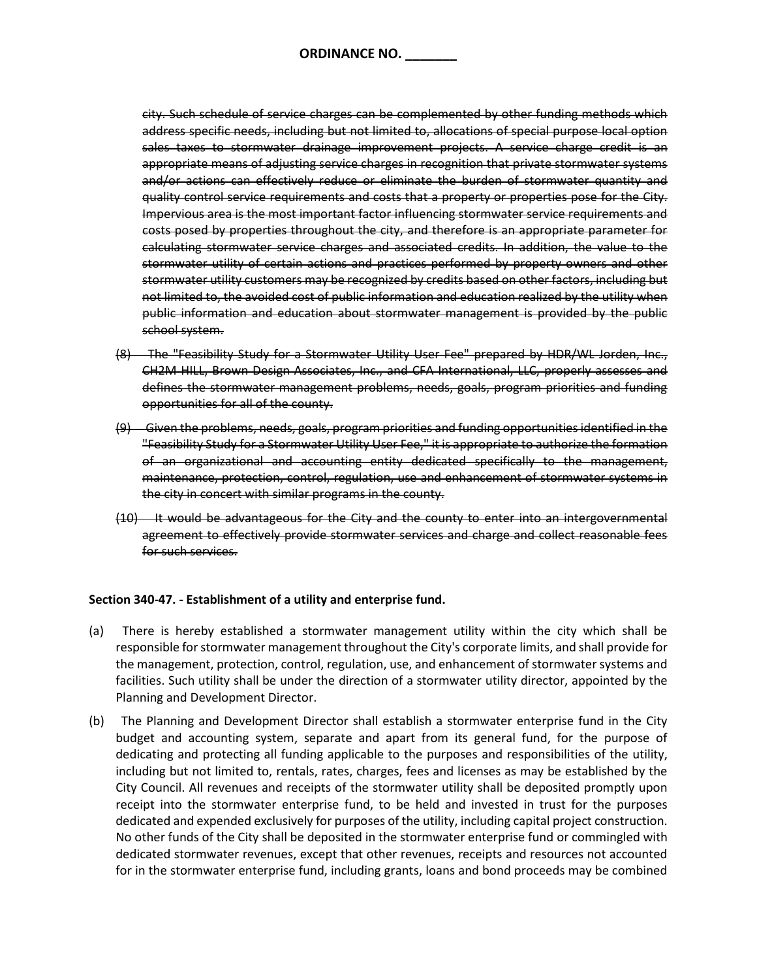**ORDINANCE NO. \_\_\_\_\_\_\_**

city. Such schedule of service charges can be complemented by other funding methods which address specific needs, including but not limited to, allocations of special purpose local option sales taxes to stormwater drainage improvement projects. A service charge credit is an appropriate means of adjusting service charges in recognition that private stormwater systems and/or actions can effectively reduce or eliminate the burden of stormwater quantity and quality control service requirements and costs that a property or properties pose for the City. Impervious area is the most important factor influencing stormwater service requirements and costs posed by properties throughout the city, and therefore is an appropriate parameter for calculating stormwater service charges and associated credits. In addition, the value to the stormwater utility of certain actions and practices performed by property owners and other stormwater utility customers may be recognized by credits based on other factors, including but not limited to, the avoided cost of public information and education realized by the utility when public information and education about stormwater management is provided by the public school system.

- (8) The "Feasibility Study for a Stormwater Utility User Fee" prepared by HDR/WL Jorden, Inc., CH2M HILL, Brown Design Associates, Inc., and CFA International, LLC, properly assesses and defines the stormwater management problems, needs, goals, program priorities and funding opportunities for all of the county.
- (9) Given the problems, needs, goals, program priorities and funding opportunities identified in the "Feasibility Study for a Stormwater Utility User Fee," it is appropriate to authorize the formation of an organizational and accounting entity dedicated specifically to the management, maintenance, protection, control, regulation, use and enhancement of stormwater systems in the city in concert with similar programs in the county.
- (10) It would be advantageous for the City and the county to enter into an intergovernmental agreement to effectively provide stormwater services and charge and collect reasonable fees for such services.

#### **Section 340-47. - Establishment of a utility and enterprise fund.**

- (a) There is hereby established a stormwater management utility within the city which shall be responsible for stormwater management throughout the City's corporate limits, and shall provide for the management, protection, control, regulation, use, and enhancement of stormwater systems and facilities. Such utility shall be under the direction of a stormwater utility director, appointed by the Planning and Development Director.
- (b) The Planning and Development Director shall establish a stormwater enterprise fund in the City budget and accounting system, separate and apart from its general fund, for the purpose of dedicating and protecting all funding applicable to the purposes and responsibilities of the utility, including but not limited to, rentals, rates, charges, fees and licenses as may be established by the City Council. All revenues and receipts of the stormwater utility shall be deposited promptly upon receipt into the stormwater enterprise fund, to be held and invested in trust for the purposes dedicated and expended exclusively for purposes of the utility, including capital project construction. No other funds of the City shall be deposited in the stormwater enterprise fund or commingled with dedicated stormwater revenues, except that other revenues, receipts and resources not accounted for in the stormwater enterprise fund, including grants, loans and bond proceeds may be combined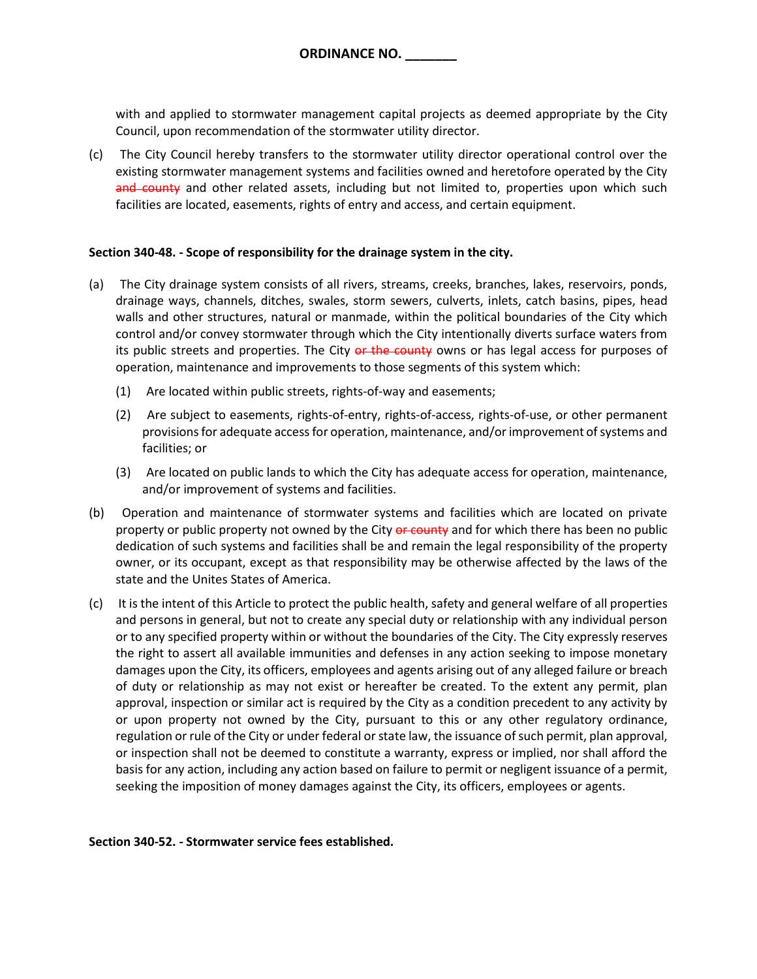with and applied to stormwater management capital projects as deemed appropriate by the City Council, upon recommendation of the stormwater utility director.

(c) The City Council hereby transfers to the stormwater utility director operational control over the existing stormwater management systems and facilities owned and heretofore operated by the City and county and other related assets, including but not limited to, properties upon which such facilities are located, easements, rights of entry and access, and certain equipment.

#### **Section 340-48. - Scope of responsibility for the drainage system in the city.**

- (a) The City drainage system consists of all rivers, streams, creeks, branches, lakes, reservoirs, ponds, drainage ways, channels, ditches, swales, storm sewers, culverts, inlets, catch basins, pipes, head walls and other structures, natural or manmade, within the political boundaries of the City which control and/or convey stormwater through which the City intentionally diverts surface waters from its public streets and properties. The City or the county owns or has legal access for purposes of operation, maintenance and improvements to those segments of this system which:
	- (1) Are located within public streets, rights-of-way and easements;
	- (2) Are subject to easements, rights-of-entry, rights-of-access, rights-of-use, or other permanent provisions for adequate access for operation, maintenance, and/or improvement of systems and facilities; or
	- (3) Are located on public lands to which the City has adequate access for operation, maintenance, and/or improvement of systems and facilities.
- (b) Operation and maintenance of stormwater systems and facilities which are located on private property or public property not owned by the City or county and for which there has been no public dedication of such systems and facilities shall be and remain the legal responsibility of the property owner, or its occupant, except as that responsibility may be otherwise affected by the laws of the state and the Unites States of America.
- (c) It is the intent of this Article to protect the public health, safety and general welfare of all properties and persons in general, but not to create any special duty or relationship with any individual person or to any specified property within or without the boundaries of the City. The City expressly reserves the right to assert all available immunities and defenses in any action seeking to impose monetary damages upon the City, its officers, employees and agents arising out of any alleged failure or breach of duty or relationship as may not exist or hereafter be created. To the extent any permit, plan approval, inspection or similar act is required by the City as a condition precedent to any activity by or upon property not owned by the City, pursuant to this or any other regulatory ordinance, regulation or rule of the City or under federal or state law, the issuance of such permit, plan approval, or inspection shall not be deemed to constitute a warranty, express or implied, nor shall afford the basis for any action, including any action based on failure to permit or negligent issuance of a permit, seeking the imposition of money damages against the City, its officers, employees or agents.

#### **Section 340-52. - Stormwater service fees established.**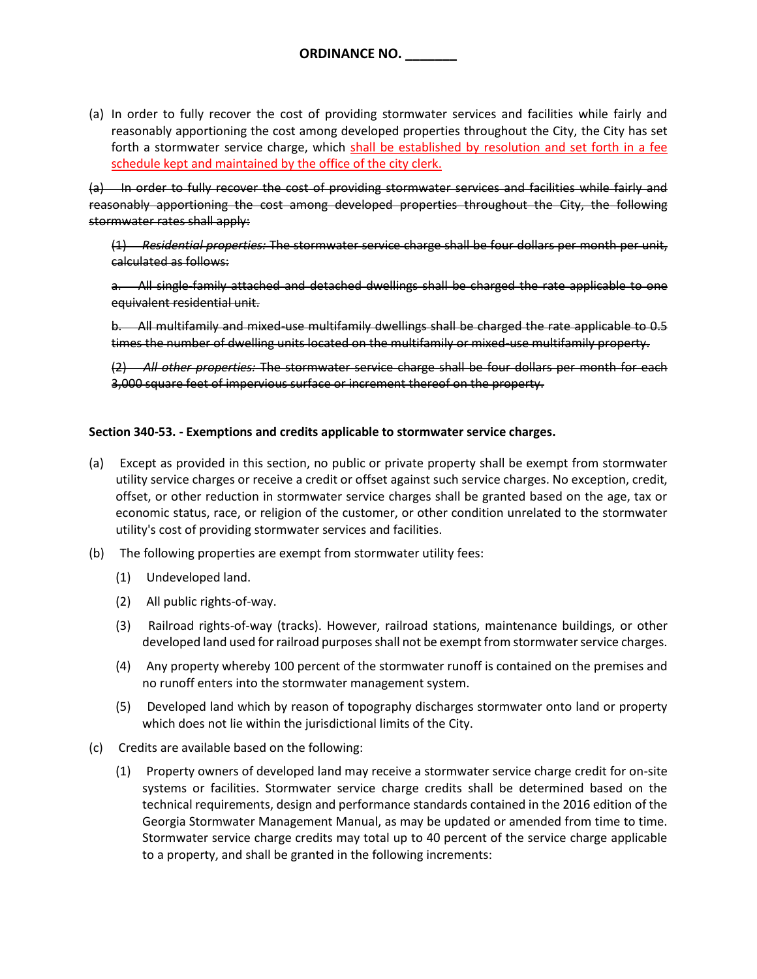(a) In order to fully recover the cost of providing stormwater services and facilities while fairly and reasonably apportioning the cost among developed properties throughout the City, the City has set forth a stormwater service charge, which shall be established by resolution and set forth in a fee schedule kept and maintained by the office of the city clerk.

(a) In order to fully recover the cost of providing stormwater services and facilities while fairly and reasonably apportioning the cost among developed properties throughout the City, the following stormwater rates shall apply:

(1) *Residential properties:* The stormwater service charge shall be four dollars per month per unit, calculated as follows:

a. All single-family attached and detached dwellings shall be charged the rate applicable to one equivalent residential unit.

b. All multifamily and mixed-use multifamily dwellings shall be charged the rate applicable to 0.5 times the number of dwelling units located on the multifamily or mixed-use multifamily property.

(2) *All other properties:* The stormwater service charge shall be four dollars per month for each 3,000 square feet of impervious surface or increment thereof on the property.

## **Section 340-53. - Exemptions and credits applicable to stormwater service charges.**

- (a) Except as provided in this section, no public or private property shall be exempt from stormwater utility service charges or receive a credit or offset against such service charges. No exception, credit, offset, or other reduction in stormwater service charges shall be granted based on the age, tax or economic status, race, or religion of the customer, or other condition unrelated to the stormwater utility's cost of providing stormwater services and facilities.
- (b) The following properties are exempt from stormwater utility fees:
	- (1) Undeveloped land.
	- (2) All public rights-of-way.
	- (3) Railroad rights-of-way (tracks). However, railroad stations, maintenance buildings, or other developed land used for railroad purposes shall not be exempt from stormwater service charges.
	- (4) Any property whereby 100 percent of the stormwater runoff is contained on the premises and no runoff enters into the stormwater management system.
	- (5) Developed land which by reason of topography discharges stormwater onto land or property which does not lie within the jurisdictional limits of the City.
- (c) Credits are available based on the following:
	- (1) Property owners of developed land may receive a stormwater service charge credit for on-site systems or facilities. Stormwater service charge credits shall be determined based on the technical requirements, design and performance standards contained in the 2016 edition of the Georgia Stormwater Management Manual, as may be updated or amended from time to time. Stormwater service charge credits may total up to 40 percent of the service charge applicable to a property, and shall be granted in the following increments: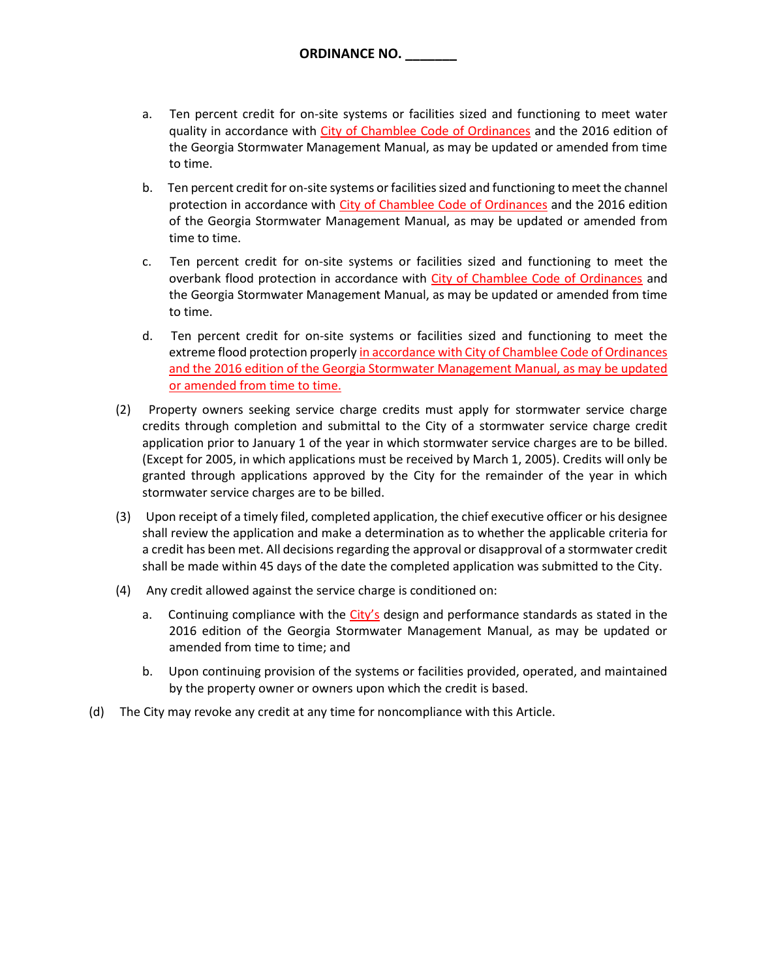- a. Ten percent credit for on-site systems or facilities sized and functioning to meet water quality in accordance with City of Chamblee Code of Ordinances and the 2016 edition of the Georgia Stormwater Management Manual, as may be updated or amended from time to time.
- b. Ten percent credit for on-site systems or facilities sized and functioning to meet the channel protection in accordance with City of Chamblee Code of Ordinances and the 2016 edition of the Georgia Stormwater Management Manual, as may be updated or amended from time to time.
- c. Ten percent credit for on-site systems or facilities sized and functioning to meet the overbank flood protection in accordance with City of Chamblee Code of Ordinances and the Georgia Stormwater Management Manual, as may be updated or amended from time to time.
- d. Ten percent credit for on-site systems or facilities sized and functioning to meet the extreme flood protection properly in accordance with City of Chamblee Code of Ordinances and the 2016 edition of the Georgia Stormwater Management Manual, as may be updated or amended from time to time.
- (2) Property owners seeking service charge credits must apply for stormwater service charge credits through completion and submittal to the City of a stormwater service charge credit application prior to January 1 of the year in which stormwater service charges are to be billed. (Except for 2005, in which applications must be received by March 1, 2005). Credits will only be granted through applications approved by the City for the remainder of the year in which stormwater service charges are to be billed.
- (3) Upon receipt of a timely filed, completed application, the chief executive officer or his designee shall review the application and make a determination as to whether the applicable criteria for a credit has been met. All decisions regarding the approval or disapproval of a stormwater credit shall be made within 45 days of the date the completed application was submitted to the City.
- (4) Any credit allowed against the service charge is conditioned on:
	- a. Continuing compliance with the City's design and performance standards as stated in the 2016 edition of the Georgia Stormwater Management Manual, as may be updated or amended from time to time; and
	- b. Upon continuing provision of the systems or facilities provided, operated, and maintained by the property owner or owners upon which the credit is based.
- (d) The City may revoke any credit at any time for noncompliance with this Article.